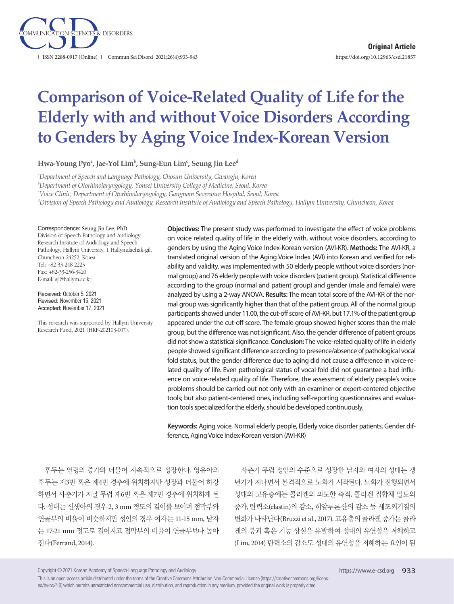

# **Comparison of Voice-Related Quality of Life for the Elderly with and without Voice Disorders According to Genders by Aging Voice Index-Korean Version**

**Hwa-Young Pyoa , Jae-Yol Limb , Sung-Eun Limc , Seung Jin Leed**

*a Department of Speech and Language Pathology, Chosun University, Gwangju, Korea* 

*b Department of Otorhinolaryngology, Yonsei University College of Medicine, Seoul, Korea*

*c Voice Clinic, Department of Otorhinolaryngology, Gangnam Severance Hospital, Seoul, Korea*

*d Division of Speech Pathology and Audiology, Research Institute of Audiology and Speech Pathology, Hallym University, Chuncheon, Korea*

#### Correspondence: Seung Jin Lee, PhD

Division of Speech Pathology and Audiology, Research Institute of Audiology and Speech Pathology, Hallym University, 1 Hallymdaehak-gil, Chuncheon 24252, Korea Tel: +82-33-248-2223 Fax: +82-33-256-3420 E-mail: sjl@hallym.ac.kr

Received: October 5, 2021 Revised: November 15, 2021 Accepted: November 17, 2021

This research was supported by Hallym University Research Fund, 2021 (HRF-202103-007).

**Objectives:** The present study was performed to investigate the effect of voice problems on voice related quality of life in the elderly with, without voice disorders, according to genders by using the Aging Voice Index-Korean version (AVI-KR). **Methods:** The AVI-KR, a translated original version of the Aging Voice Index (AVI) into Korean and verified for reliability and validity, was implemented with 50 elderly people without voice disorders (normal group) and 76 elderly people with voice disorders (patient group). Statistical difference according to the group (normal and patient group) and gender (male and female) were analyzed by using a 2-way ANOVA. **Results:** The mean total score of the AVI-KR of the normal group was significantly higher than that of the patient group. All of the normal group participants showed under 11.00, the cut-off score of AVI-KR, but 17.1% of the patient group appeared under the cut-off score. The female group showed higher scores than the male group, but the difference was not significant. Also, the gender difference of patient groups did not show a statistical significance. **Conclusion:** The voice-related quality of life in elderly people showed significant difference according to presence/absence of pathological vocal fold status, but the gender difference due to aging did not cause a difference in voice-related quality of life. Even pathological status of vocal fold did not guarantee a bad influence on voice-related quality of life. Therefore, the assessment of elderly people's voice problems should be carried out not only with an examiner or expert-centered objective tools; but also patient-centered ones, including self-reporting questionnaires and evaluation tools specialized for the elderly, should be developed continuously.

**Keywords:** Aging voice, Normal elderly people, Elderly voice disorder patients, Gender difference, Aging Voice Index-Korean version (AVI-KR)

후두는 연령의 증가와 더불어 지속적으로 성장한다. 영유아의 후두는 제3번 혹은 제4번 경추에 위치하지만 성장과 더불어 하강 하면서 사춘기가 지날 무렵 제6번 혹은 제7번 경추에 위치하게 된 다. 성대는 신생아의 경우 2, 3 mm 정도의 길이를 보이며 점막부와 연골부의 비율이 비슷하지만 성인의 경우 여자는 11-15 mm, 남자 는 17-21 mm 정도로 길어지고 점막부의 비율이 연골부보다 높아 진다(Ferrand, 2014).

사춘기 무렵 성인의 수준으로 성장한 남자와 여자의 성대는 갱 년기가 지나면서 본격적으로 노화가 시작된다. 노화가 진행되면서 성대의 고유층에는 콜라겐의 과도한 축적, 콜라겐 집합체 밀도의 증가, 탄력소(elastin)의 감소, 히알루론산의 감소 등 세포외기질의 변화가 나타난다(Bruzzi et al., 2017). 고유층의 콜라겐 증가는 콜라 겐의 붕괴 혹은 기능 상실을 유발하여 성대의 유연성을 저해하고 (Lim, 2014) 탄력소의 감소도 성대의 유연성을 저해하는 요인이 된

Copyright © 2021 Korean Academy of Speech-Language Pathology and Audiology

This is an open-access article distributed under the terms of the Creative Commons Attribution Non-Commercial License (https://creativecommons.org/licenses/by-nc/4.0) which permits unrestricted noncommercial use, distribution, and reproduction in any medium, provided the original work is properly cited.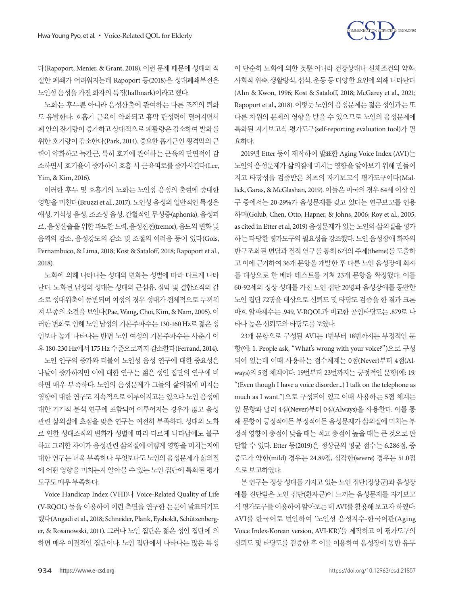

다(Rapoport, Menier, & Grant, 2018). 이런 문제 때문에 성대의 적 절한 폐쇄가 어려워지는데 Rapoport 등(2018)은 성대폐쇄부전은 노인성 음성을 가진 화자의 특징(hallmark)이라고 했다.

노화는 후두뿐 아니라 음성산출에 관여하는 다른 조직의 퇴화 도 유발한다. 호흡기 근육이 약화되고 흉막 탄성력이 떨어지면서 폐 안의 잔기량이 증가하고 상대적으로 폐활량은 감소하여 발화를 위한 호기량이 감소한다(Park, 2014). 중요한 흡기근인 횡격막의 근 력이 약화하고 늑간근, 특히 호기에 관여하는 근육의 단면적이 감 소하면서 호기율이 증가하여 호흡 시 근육피로를 증가시킨다(Lee, Yim, & Kim, 2016).

이러한 후두 및 호흡기의 노화는 노인성 음성의 출현에 중대한 영향을 미친다(Bruzzi et al., 2017). 노인성 음성의 일반적인 특징은 애성, 기식성 음성, 조조성 음성, 간헐적인 무성증(aphonia), 음성피 로, 음성산출을위한과도한노력, 음성진전(tremor), 음도의변화및 음역의 감소, 음성강도의 감소 및 조절의 어려움 등이 있다(Gois, Pernambuco, & Lima, 2018; Kost & Sataloff, 2018; Rapoport et al., 2018).

노화에 의해 나타나는 성대의 변화는 성별에 따라 다르게 나타 난다. 노화된 남성의 성대는 성대의 근섬유, 점막 및 결합조직의 감 소로 성대위축이 동반되며 여성의 경우 성대가 전체적으로 두꺼워 져 부종의 소견을 보인다(Pae, Wang, Choi, Kim, & Nam, 2005). 이 러한 변화로 인해 노인 남성의 기본주파수는 130-160 Hz로 젊은 성 인보다 높게 나타나는 반면 노인 여성의 기본주파수는 사춘기 이 후 180-230 Hz에서 175 Hz 수준으로까지감소한다(Ferrand, 2014).

노인 인구의 증가와 더불어 노인성 음성 연구에 대한 중요성은 나날이 증가하지만 이에 대한 연구는 젊은 성인 집단의 연구에 비 하면 매우 부족하다. 노인의 음성문제가 그들의 삶의질에 미치는 영향에 대한 연구도 지속적으로 이루어지고는 있으나 노인 음성에 대한 기기적 분석 연구에 포함되어 이루어지는 경우가 많고 음성 관련 삶의질에 초점을 맞춘 연구는 여전히 부족하다. 성대의 노화 로 인한 성대조직의 변화가 성별에 따라 다르게 나타남에도 불구 하고 그러한 차이가 음성관련 삶의질에 어떻게 영향을 미치는지에 대한 연구는 더욱 부족하다. 무엇보다도 노인의 음성문제가 삶의질 에 어떤 영향을 미치는지 알아볼 수 있는 노인 집단에 특화된 평가 도구도매우부족하다.

Voice Handicap Index (VHI)나 Voice-Related Quality of Life (V-RQOL) 등을 이용하여 이런 측면을 연구한 논문이 발표되기도 했다(Angadi et al., 2018; Schneider, Plank, Eysholdt, Schützenberger, & Rosanowski, 2011). 그러나 노인 집단은 젊은 성인 집단에 의 하면 매우 이질적인 집단이다. 노인 집단에서 나타나는 많은 특성

이 단순히 노화에 의한 것뿐 아니라 건강상태나 신체조건의 약화, 사회적 위축, 생활방식, 섭식, 운동 등 다양한 요인에 의해 나타난다 (Ahn & Kwon, 1996; Kost & Sataloff, 2018; McGarey et al., 2021; Rapoport et al., 2018). 이렇듯 노인의 음성문제는 젊은 성인과는 또 다른 차원의 문제의 영향을 받을 수 있으므로 노인의 음성문제에 특화된 자기보고식 평가도구(self-reporting evaluation tool)가 필 요하다.

2019년 Etter 등이 제작하여 발표한 Aging Voice Index (AVI)는 노인의 음성문제가 삶의질에 미치는 영향을 알아보기 위해 만들어 지고 타당성을 검증받은 최초의 자기보고식 평가도구이다(Mallick, Garas, & McGlashan, 2019). 이들은 미국의 경우 64세 이상 인 구 중에서는 20-29%가 음성문제를 갖고 있다는 연구보고를 인용 하며(Golub, Chen, Otto, Hapner, & Johns, 2006; Roy et al., 2005, as cited in Etter et al, 2019) 음성문제가 있는 노인의 삶의질을 평가 하는 타당한 평가도구의 필요성을 강조했다. 노인 음성장애 화자의 반구조화된 면담과 질적 연구를 통해 6개의 주제(theme)를 도출하 고 이에 근거하여 36개 문항을 개발한 후 다른 노인 음성장애 화자 를 대상으로 한 베타 테스트를 거쳐 23개 문항을 확정했다. 이를 60-92세의 정상 성대를 가진 노인 집단 20명과 음성장애를 동반한 노인 집단 72명을 대상으로 신뢰도 및 타당도 검증을 한 결과 크론 바흐 알파계수는 .949, V-RQOL과 비교한 공인타당도는 .879로 나 타나높은신뢰도와타당도를보였다.

23개 문항으로 구성된 AVI는 1번부터 18번까지는 부정적인 문 항(예: 1. People ask, "What's wrong with your voice?")으로 구성 되어 있는데 이때 사용하는 점수체계는 0점(Never)부터 4점(Always)의 5점 체계이다. 19번부터 23번까지는 긍정적인 문항[예: 19. "(Even though I have a voice disorder...) I talk on the telephone as much as I want."]으로 구성되어 있고 이때 사용하는 5점 체계는 앞 문항과 달리 4점(Never)부터 0점(Always)을 사용한다. 이를 통 해 문항이 긍정적이든 부정적이든 음성문제가 삶의질에 미치는 부 정적 영향이 총점이 낮을 때는 적고 총점이 높을 때는 큰 것으로 판 단할 수 있다. Etter 등(2019)은 정상군의 평균 점수는 6.286점, 중 증도가 약한(mild) 경우는 24.89점, 심각한(severe) 경우는 51.0점 으로보고하였다.

본 연구는 정상 성대를 가지고 있는 노인 집단(정상군)과 음성장 애를 진단받은 노인 집단(환자군)이 느끼는 음성문제를 자기보고 식평가도구를이용하여알아보는데 AVI를활용해보고자하였다. AVI를 한국어로 번안하여 '노인성 음성지수-한국어판(Aging Voice Index-Korean version, AVI-KR)'을 제작하고 이 평가도구의 신뢰도 및 타당도를 검증한 후 이를 이용하여 음성장애 동반 유무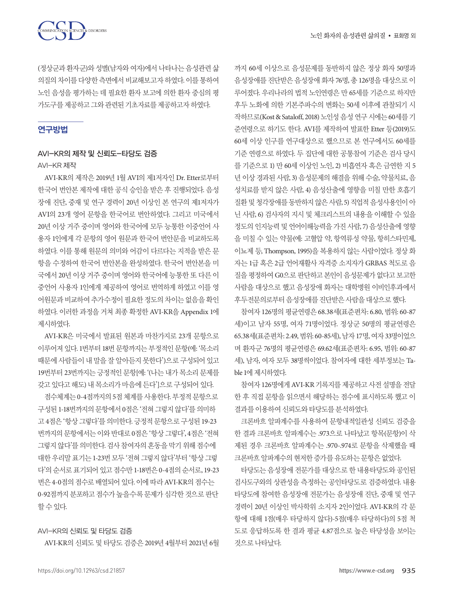



(정상군과 환자군)와 성별(남자와 여자)에서 나타나는 음성관련 삶 의질의차이를다양한측면에서비교해보고자하였다. 이를통하여 노인 음성을 평가하는 데 필요한 환자 보고에 의한 환자 중심의 평 가도구를제공하고그와관련된기초자료를제공하고자하였다.

# 연구방법

# AVI-KR의 제작 및 신뢰도-타당도 검증 AVI-KR 제작

AVI-KR의 제작은 2019년 1월 AVI의 제1저자인 Dr. Etter로부터 한국어 번안본 제작에 대한 공식 승인을 받은 후 진행되었다. 음성 장애 진단, 중재 및 연구 경력이 20년 이상인 본 연구의 제1저자가 AVI의 23개 영어 문항을 한국어로 번안하였다. 그리고 미국에서 20년 이상 거주 중이며 영어와 한국어에 모두 능통한 이중언어 사 용자 1인에게 각 문항의 영어 원문과 한국어 번안문을 비교하도록 하였다. 이를 통해 원문의 의미와 어감이 다르다는 지적을 받은 문 항을 수정하여 한국어 번안본을 완성하였다. 한국어 번안본을 미 국에서 20년 이상 거주 중이며 영어와 한국어에 능통한 또 다른 이 중언어 사용자 1인에게 제공하여 영어로 번역하게 하였고 이를 영 어원문과 비교하여 추가수정이 필요한 정도의 차이는 없음을 확인 하였다. 이러한 과정을 거쳐 최종 확정한 AVI-KR을 Appendix 1에 제시하였다.

AVI-KR은 미국에서 발표된 원본과 마찬가지로 23개 문항으로 이루어져 있다. 1번부터 18번 문항까지는 부정적인 문항(예: '목소리 때문에 사람들이 내 말을 잘 알아듣지 못한다')으로 구성되어 있고 19번부터 23번까지는 긍정적인 문항[예: '(나는 내가 목소리 문제를 갖고있다고해도) 내목소리가마음에든다']으로구성되어있다.

점수체계는 0-4점까지의 5점체계를사용한다. 부정적문항으로 구성된 1-18번까지의문항에서 0점은'전혀그렇지않다'를의미하 고 4점은'항상그렇다'를의미한다. 긍정적문항으로구성된 19-23 번까지의문항에서는이와반대로 0점은'항상그렇다', 4점은'전혀 그렇지 않다'를 의미한다. 검사 참여자의 혼동을 막기 위해 점수에 대한우리말표기는 1-23번모두'전혀그렇지않다'부터'항상그렇 다'의순서로표기되어있고점수만 1-18번은 0-4점의순서로, 19-23 번은 4-0점의 점수로 배열되어 있다. 이에 따라 AVI-KR의 점수는 0-92점까지 분포하고 점수가 높을수록 문제가 심각한 것으로 판단 할수있다.

## AVI-KR의 신뢰도 및 타당도 검증

AVI-KR의 신뢰도 및 타당도 검증은 2019년 4월부터 2021년 6월

까지 60세 이상으로 음성문제를 동반하지 않은 정상 화자 50명과 음성장애를 진단받은 음성장애 화자 76명, 총 126명을 대상으로 이 루어졌다. 우리나라의 법적 노인연령은 만 65세를 기준으로 하지만 후두 노화에 의한 기본주파수의 변화는 50세 이후에 관찰되기 시 작하므로(Kost & Sataloff, 2018) 노인성음성연구시에는 60세를기 준연령으로 하기도 한다. AVI를 제작하여 발표한 Etter 등(2019)도 60세 이상 인구를 연구대상으로 했으므로 본 연구에서도 60세를 기준 연령으로 하였다. 두 집단에 대한 공통참여 기준은 검사 당시 를 기준으로 1) 만 60세 이상인 노인, 2) 비흡연자 혹은 금연한 지 5 년 이상 경과된 사람, 3) 음성문제의 해결을 위해 수술, 약물치료, 음 성치료를 받지 않은 사람, 4) 음성산출에 영향을 미칠 만한 호흡기 질환 및 청각장애를 동반하지 않은 사람, 5) 직업적 음성사용인이 아 닌 사람, 6) 검사자의 지시 및 체크리스트의 내용을 이해할 수 있을 정도의 인지능력 및 언어이해능력을 가진 사람, 7) 음성산출에 영향 을 미칠 수 있는 약물(예: 고혈압 약, 항역류성 약물, 항히스타민제, 이뇨제 등, Thompson, 1995)을 복용하지 않는 사람이었다. 정상 화 자는 1급 혹은 2급 언어재활사 자격증 소지자가 GRBAS 척도로 음 질을 평정하여 G0으로 판단하고 본인이 음성문제가 없다고 보고한 사람을 대상으로 했고 음성장애 화자는 대학병원 이비인후과에서 후두전문의로부터음성장애를진단받은사람을대상으로했다.

참여자 126명의 평균연령은 68.38세(표준편차: 6.80, 범위: 60-87 세)이고 남자 55명, 여자 71명이었다. 정상군 50명의 평균연령은 65.38세(표준편차: 2.49, 범위: 60-85세), 남자 17명, 여자 33명이었으 며 환자군 76명의 평균연령은 69.62세(표준편차: 6.95, 범위: 60-87 세), 남자, 여자 모두 38명씩이었다. 참여자에 대한 세부정보는 Table 1에 제시하였다.

참여자 126명에게 AVI-KR 기록지를 제공하고 사전 설명을 전달 한 후 직접 문항을 읽으면서 해당하는 점수에 표시하도록 했고 이 결과를이용하여신뢰도와타당도를분석하였다.

크론바흐 알파계수를 사용하여 문항내적일관성 신뢰도 검증을 한 결과 크론바흐 알파계수는 .973으로 나타났고 항목(문항)이 삭 제된 경우 크론바흐 알파계수는 .970-.974로 문항을 삭제했을 때 크론바흐 알파계수의 현저한 증가를 유도하는 문항은 없었다.

타당도는 음성장애 전문가를 대상으로 한 내용타당도와 공인된 검사도구와의 상관성을 측정하는 공인타당도로 검증하였다. 내용 타당도에 참여한 음성장애 전문가는 음성장애 진단, 중재 및 연구 경력이 20년 이상인 박사학위 소지자 2인이었다. AVI-KR의 각 문 항에 대해 1점(매우 타당하지 않다)-5점(매우 타당하다)의 5점 척 도로 응답하도록 한 결과 평균 4.87점으로 높은 타당성을 보이는 것으로나타났다.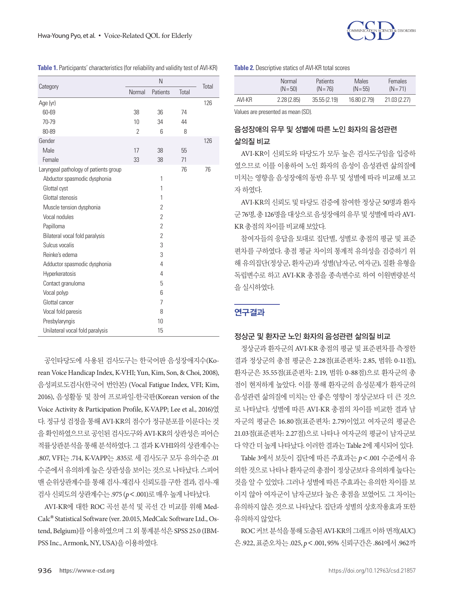

|  | Table 1. Participants' characteristics (for reliability and validity test of AVI-KR) |  |  |
|--|--------------------------------------------------------------------------------------|--|--|
|--|--------------------------------------------------------------------------------------|--|--|

|                                       |               | Total          |       |     |
|---------------------------------------|---------------|----------------|-------|-----|
| Category                              | Normal        | Patients       | Total |     |
| Age (yr)                              |               |                |       | 126 |
| 60-69                                 | 38            | 36             | 74    |     |
| 70-79                                 | 10            | 34             | 44    |     |
| 80-89                                 | $\mathcal{P}$ | 6              | 8     |     |
| Gender                                |               |                |       | 126 |
| Male                                  | 17            | 38             | 55    |     |
| Female                                | 33            | 38             | 71    |     |
| Laryngeal pathology of patients group |               |                | 76    | 76  |
| Abductor spasmodic dysphonia          |               | 1              |       |     |
| Glottal cyst                          |               | 1              |       |     |
| Glottal stenosis                      |               | 1              |       |     |
| Muscle tension dysphonia              |               | 2              |       |     |
| Vocal nodules                         |               | $\overline{2}$ |       |     |
| Papilloma                             |               | $\overline{2}$ |       |     |
| Bilateral vocal fold paralysis        |               | $\overline{2}$ |       |     |
| Sulcus vocalis                        |               | 3              |       |     |
| Reinke's edema                        |               | 3              |       |     |
| Adductor spasmodic dysphonia          |               | 4              |       |     |
| Hyperkeratosis                        |               | 4              |       |     |
| Contact granuloma                     |               | 5              |       |     |
| Vocal polyp                           |               | 6              |       |     |
| Glottal cancer                        |               | $\overline{7}$ |       |     |
| Vocal fold paresis                    |               | 8              |       |     |
| Presbylaryngis                        |               | 10             |       |     |
| Unilateral vocal fold paralysis       |               | 15             |       |     |

공인타당도에 사용된 검사도구는 한국어판 음성장애지수(Korean Voice Handicap Index, K-VHI; Yun, Kim, Son, & Choi, 2008), 음성피로도검사(한국어 번안본) (Vocal Fatigue Index, VFI; Kim, 2016), 음성활동 및 참여 프로파일-한국판(Korean version of the Voice Activity & Participation Profile, K-VAPP; Lee et al., 2016)였 다. 정규성 검정을 통해 AVI-KR의 점수가 정규분포를 이룬다는 것 을확인하였으므로공인된검사도구와 AVI-KR의상관성은피어슨 적률상관분석을 통해 분석하였다. 그 결과 K-VHI와의 상관계수는 .807, VFI는 .714, K-VAPP는 .835로 세 검사도구 모두 유의수준 .01 수준에서 유의하게 높은 상관성을 보이는 것으로 나타났다. 스피어 맨 순위상관계수를 통해 검사-재검사 신뢰도를 구한 결과, 검사-재 검사신뢰도의상관계수는 .975 (*p*<.001)로매우높게나타났다.

AVI-KR에 대한 ROC 곡선 분석 및 곡선 간 비교를 위해 Med-Calc**®** Statistical Software (ver. 20.015, MedCalc Software Ltd., Ostend, Belgium)를 이용하였으며 그 외 통계분석은 SPSS 25.0 (IBM-PSS Inc., Armonk, NY, USA)을이용하였다.

#### **Table 2.** Descriptive statics of AVI-KR total scores

|        | Normal     | <b>Patients</b> | Males        | <b>Females</b> |
|--------|------------|-----------------|--------------|----------------|
|        | $(N = 50)$ | $(N = 76)$      | $(N = 55)$   | $(N=71)$       |
| AVI-KR | 2.28(2.85) | 35.55(2.19)     | 16.80 (2.79) | 21.03 (2.27)   |

Values are presented as mean (SD).

# 음성장애의 유무 및 성별에 따른 노인 화자의 음성관련 삶의질 비교

AVI-KR이 신뢰도와 타당도가 모두 높은 검사도구임을 입증하 였으므로 이를 이용하여 노인 화자의 음성이 음성관련 삶의질에 미치는 영향을 음성장애의 동반 유무 및 성별에 따라 비교해 보고 자 하였다.

AVI-KR의 신뢰도 및 타당도 검증에 참여한 정상군 50명과 환자 군 76명, 총 126명을대상으로음성장애의유무및성별에따라 AVI-KR 총점의차이를비교해보았다.

참여자들의 응답을 토대로 집단별, 성별로 총점의 평균 및 표준 편차를 구하였다. 총점 평균 차이의 통계적 유의성을 검증하기 위 해 유의집단(정상군, 환자군)과 성별(남자군, 여자군), 질환 유형을 독립변수로 하고 AVI-KR 총점을 종속변수로 하여 이원변량분석 을실시하였다.

## 연구결과

### 정상군 및 환자군 노인 화자의 음성관련 삶의질 비교

정상군과 환자군의 AVI-KR 총점의 평균 및 표준편차를 측정한 결과 정상군의 총점 평균은 2.28점(표준편차: 2.85, 범위: 0-11점), 환자군은 35.55점(표준편차: 2.19, 범위: 0-88점)으로 환자군의 총 점이 현저하게 높았다. 이를 통해 환자군의 음성문제가 환자군의 음성관련 삶의질에 미치는 안 좋은 영향이 정상군보다 더 큰 것으 로 나타났다. 성별에 따른 AVI-KR 총점의 차이를 비교한 결과 남 자군의 평균은 16.80점(표준편차: 2.79)이었고 여자군의 평균은 21.03점(표준편차: 2.27점)으로 나타나 여자군의 평균이 남자군보 다약간더높게나타났다. 이러한결과는 Table 2에제시되어있다.

Table 3에서 보듯이 집단에 따른 주효과는 *p*<.001 수준에서 유 의한 것으로 나타나 환자군의 총점이 정상군보다 유의하게 높다는 것을 알 수 있었다. 그러나 성별에 따른 주효과는 유의한 차이를 보 이지 않아 여자군이 남자군보다 높은 총점을 보였어도 그 차이는 유의하지 않은 것으로 나타났다. 집단과 성별의 상호작용효과 또한 유의하지않았다.

ROC 커브분석을통해도출된 AVI-KR의그래프이하면적(AUC) 은 .922, 표준오차는 .025, *p*<.001, 95% 신뢰구간은 .861에서 .962까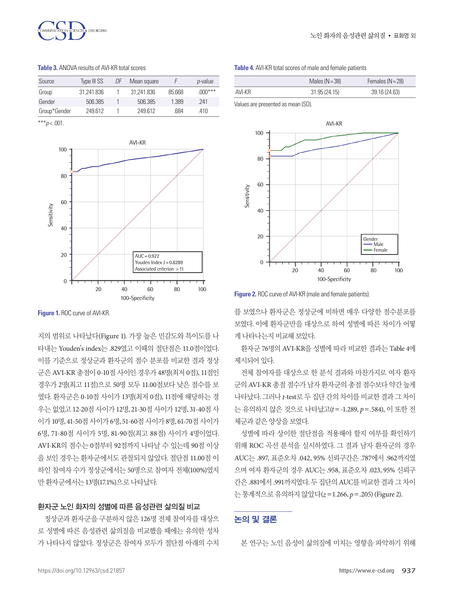

**Table 3.** ANOVA results of AVI-KR total scores

| Source       | Type III SS | ΠF | Mean square |        | <i>p</i> -value |
|--------------|-------------|----|-------------|--------|-----------------|
| Group        | 31.241.836  |    | 31.241.836  | 85.668 | $.000***$       |
| Gender       | 506.385     |    | 506 385     | 1 389  | -241            |
| Group*Gender | 249612      |    | 249612      | 684    | 410             |

 $***p<.001$ 



**Figure 1. ROC curve of AVI-KR.** 

지의 범위로 나타났다(Figure 1). 가장 높은 민감도와 특이도를 나 타내는 Youden's index는 .829였고 이때의 절단점은 11.0점이었다. 이를 기준으로 정상군과 환자군의 점수 분포를 비교한 결과 정상 군은 AVI-KR 총점이 0-10점 사이인 경우가 48명(최저 0점), 11점인 경우가 2명(최고 11점)으로 50명 모두 11.00점보다 낮은 점수를 보 였다. 환자군은 0-10점 사이가 13명(최저 0점), 11점에 해당하는 경 우는 없었고 12-20점 사이가 12명, 21-30점 사이가 12명, 31-40점 사 이가 10명, 41-50점사이가 6명, 51-60점사이가 8명, 61-70점사이가 6명, 71-80점 사이가 5명, 81-90점(최고 88점) 사이가 4명이었다. AVI-KR의 점수는 0점부터 92점까지 나타날 수 있는데 90점 이상 을 보인 경우는 환자군에서도 관찰되지 않았다. 절단점 11.00점 이 하인 참여자 수가 정상군에서는 50명으로 참여자 전체(100%)였지 만환자군에서는 13명(17.1%)으로나타났다.

#### $\mathbf{F}$  and  $\mathbf{F}$  represents the  $\mathbf{F}$ 환자군 노인 화자의 성별에 따른 음성관련 삶의질 비교

정상군과 환자군을 구분하지 않은 126명 전체 참여자를 대상으 로 성별에 따른 음성관련 삶의질을 비교했을 때에는 유의한 성차 가 나타나지 않았다. 정상군은 참여자 모두가 절단점 아래의 수치

|  | Table 4. AVI-KR total scores of male and female patients |  |  |  |  |
|--|----------------------------------------------------------|--|--|--|--|
|--|----------------------------------------------------------|--|--|--|--|

|        | Males $(N=38)$ | Females $(N = 28)$ |  |  |
|--------|----------------|--------------------|--|--|
| AVI-KR | 31.95(24.15)   | 39.16 (24.63)      |  |  |

Values are presented as mean (SD).



**Figure 2.** ROC curve of AVI-KR (male and female patients).

를 보였으나 환자군은 정상군에 비하면 매우 다양한 점수분포를 보였다. 이에 환자군만을 대상으로 하여 성별에 따른 차이가 어떻 게나타나는지비교해보았다.

환자군 76명의 AVI-KR을 성별에 따라 비교한 결과는 Table 4에 제시되어 있다.

전체 참여자를 대상으로 한 분석 결과와 마찬가지로 여자 환자 군의 AVI-KR 총점 점수가 남자 환자군의 총점 점수보다 약간 높게 나타났다. 그러나*t*-test로두집단간의차이를비교한결과그차이 는 유의하지 않은 것으로 나타났고(*t*=-1.289, *p*=.584), 이 또한 전 체군과같은양상을보였다.

성별에 따라 상이한 절단점을 적용해야 할지 여부를 확인하기 위해 ROC 곡선 분석을 실시하였다. 그 결과 남자 환자군의 경우 AUC는 .897, 표준오차 .042, 95% 신뢰구간은 .787에서 .962까지였 으며 여자 환자군의 경우 AUC는 .958, 표준오차 .023, 95% 신뢰구 간은 .881에서 .991까지였다. 두집단의 AUC를비교한결과그차이 는통계적으로유의하지않았다(*z*=1.266, *p*=.205) (Figure 2).

# 논의 및 결론

본 연구는 노인 음성이 삶의질에 미치는 영향을 파악하기 위해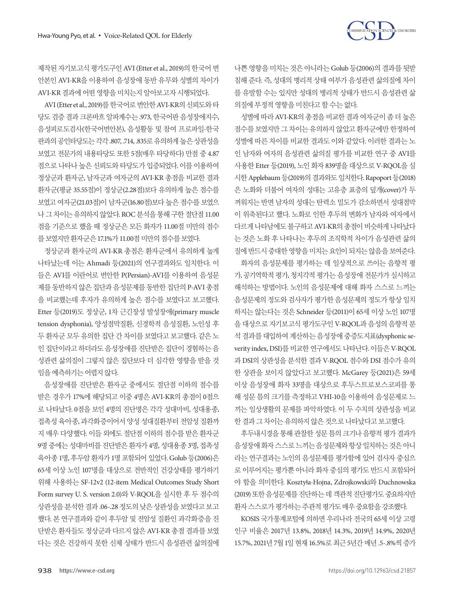

제작된 자기보고식 평가도구인 AVI (Etter et al., 2019)의 한국어 번 안본인 AVI-KR을 이용하여 음성장애 동반 유무와 성별의 차이가 AVI-KR 결과에어떤영향을미치는지알아보고자시행되었다.

AVI (Etter et al., 2019)를 한국어로 번안한 AVI-KR의 신뢰도와 타 당도 검증 결과 크론바흐 알파계수는 .973, 한국어판 음성장애지수, 음성피로도검사(한국어번안본), 음성활동 및 참여 프로파일-한국 판과의 공인타당도는 각각 .807, .714, .835로 유의하게 높은 상관성을 보였고 전문가의 내용타당도 또한 5점(매우 타당하다) 만점 중 4.87 점으로 나타나 높은 신뢰도와 타당도가 입증되었다. 이를 이용하여 정상군과 환자군, 남자군과 여자군의 AVI-KR 총점을 비교한 결과 환자군(평균 35.55점)이 정상군(2.28점)보다 유의하게 높은 점수를 보였고 여자군(21.03점)이 남자군(16.80점)보다 높은 점수를 보였으 나 그 차이는 유의하지 않았다. ROC 분석을 통해 구한 절단점 11.00 점을 기준으로 했을 때 정상군은 모든 화자가 11.00점 미만의 점수 를보였지만환자군은 17.1%가 11.00점미만의점수를보였다.

정상군과 환자군의 AVI-KR 총점은 환자군에서 유의하게 높게 나타났는데 이는 Ahmadi 등(2021)의 연구결과와도 일치한다. 이 들은 AVI를 이란어로 번안한 P(Persian)-AVI를 이용하여 음성문 제를 동반하지 않은 집단과 음성문제를 동반한 집단의 P-AVI 총점 을 비교했는데 후자가 유의하게 높은 점수를 보였다고 보고했다. Etter 등(2019)도 정상군, 1차 근긴장성 발성장애(primary muscle tension dysphonia), 양성점막질환, 신경학적 음성질환, 노인성 후 두 환자군 모두 유의한 집단 간 차이를 보였다고 보고했다. 같은 노 인 집단이라고 하더라도 음성장애를 진단받은 집단이 경험하는 음 성관련 삶의질이 그렇지 않은 집단보다 더 심각한 영향을 받을 것 임을예측하기는어렵지않다.

음성장애를 진단받은 환자군 중에서도 절단점 이하의 점수를 받은 경우가 17%에 해당되고 이중 4명은 AVI-KR의 총점이 0점으 로 나타났다. 0점을 보인 4명의 진단명은 각각 성대마비, 성대용종, 접촉성 육아종, 과각화증이어서 양성 성대질환부터 전암성 질환까 지 매우 다양했다. 이들 외에도 절단점 이하의 점수를 받은 환자군 9명 중에는 성대마비를 진단받은 환자가 4명, 성대용종 3명, 접촉성 육아종 1명, 후두암 환자가 1명 포함되어 있었다. Golub 등(2006)은 65세 이상 노인 107명을 대상으로 전반적인 건강상태를 평가하기 위해 사용하는 SF-12v2 (12-item Medical Outcomes Study Short Form survey U. S. version 2.0)와 V-RQOL을 실시한 후 두 점수의 상관성을 분석한 결과 .06-.28 정도의 낮은 상관성을 보였다고 보고 했다. 본 연구결과와 같이 후두암 및 전암성 질환인 과각화증을 진 단받은 환자들도 정상군과 다르지 않은 AVI-KR 총점 결과를 보였 다는 것은 건강하지 못한 신체 상태가 반드시 음성관련 삶의질에 나쁜 영향을 미치는 것은 아니라는 Golub 등(2006)의 결과를 뒷받 침해 준다. 즉, 성대의 병리적 상태 여부가 음성관련 삶의질에 차이 를 유발할 수는 있지만 성대의 병리적 상태가 반드시 음성관련 삶 의질에 부정적 영향을 미치다고 할 수는 없다.

성별에따라 AVI-KR의총점을비교한결과여자군이좀더높은 점수를 보였지만 그 차이는 유의하지 않았고 환자군에만 한정하여 성별에 따른 차이를 비교한 결과도 이와 같았다. 이러한 결과는 노 인 남자와 여자의 음성관련 삶의질 평가를 비교한 연구 중 AVI를 사용한 Etter 등(2019), 노인 화자 839명을 대상으로 V-RQOL을 실 시한 Applebaum 등(2019)의결과와도일치한다. Rapoport 등(2018) 은 노화와 더불어 여자의 성대는 고유층 표층의 덮개(cover)가 두 꺼워지는 반면 남자의 성대는 탄력소 밀도가 감소하면서 성대점막 이 위축된다고 했다. 노화로 인한 후두의 변화가 남자와 여자에서 다르게나타남에도불구하고 AVI-KR의총점이비슷하게나타났다 는 것은 노화 후 나타나는 후두의 조직학적 차이가 음성관련 삶의 질에반드시중대한영향을미치는요인이되지는않음을보여준다.

화자의 음성문제를 평가하는 데 일상적으로 쓰이는 음향적 평 가, 공기역학적 평가, 청지각적 평가는 음성장애 전문가가 실시하고 해석하는 방법이다. 노인의 음성문제에 대해 화자 스스로 느끼는 음성문제의 정도와 검사자가 평가한 음성문제의 정도가 항상 일치 하지는 않는다는 것은 Schneider 등(2011)이 65세 이상 노인 107명 을 대상으로 자기보고식 평가도구인 V-RQOL과 음성의 음향적 분 석 결과를 대입하여 계산하는 음성장애 중증도지표(dysphonic severity index, DSI)를 비교한 연구에서도 나타난다. 이들은 V-RQOL 과 DSI의 상관성을 분석한 결과 V-RQOL 점수와 DSI 점수가 유의 한 상관을 보이지 않았다고 보고했다. McGarey 등(2021)은 59세 이상 음성장애 화자 33명을 대상으로 후두스트로보스코피를 통 해 성문 틈의 크기를 측정하고 VHI-10을 이용하여 음성문제로 느 끼는 일상생활의 문제를 파악하였다. 이 두 수치의 상관성을 비교 한결과 그 차이는 유의하지 않은 것으로 나타났다고 보고했다.

후두내시경을 통해 관찰한 성문 틈의 크기나 음향적 평가 결과가 음성장애화자스스로느끼는음성문제와항상일치하는것은아니 라는 연구결과는 노인의 음성문제를 평가함에 있어 검사자 중심으 로 이루어지는 평가뿐 아니라 화자 중심의 평가도 반드시 포함되어 야 함을 의미한다. Kosztyɫa-Hojna, Zdrojkowski와 Duchnowska (2019) 또한 음성문제를 진단하는 데 객관적 진단평가도 중요하지만 환자스스로가평가하는주관적평가도매우중요함을강조했다.

KOSIS 국가통계포털에 의하면 우리나라 전국의 65세 이상 고령 인구 비율은 2017년 13.8%, 2018년 14.3%, 2019년 14.9%, 2020년 15.7%, 2021년 7월 1일현재 16.5%로최근 5년간매년 .5-.8%씩증가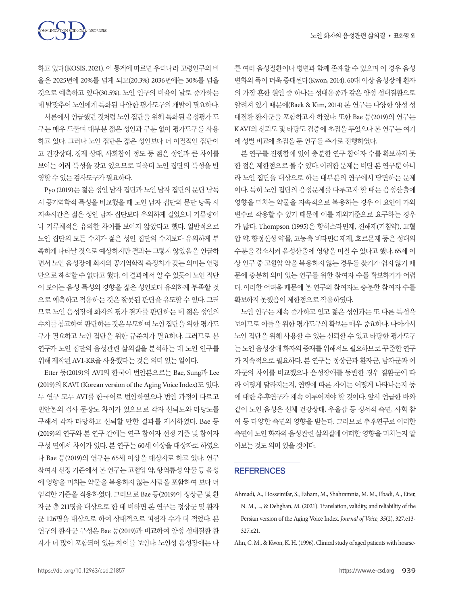TON SCIENCES & DISORDERS

하고 있다(KOSIS, 2021). 이 통계에 따르면 우리나라 고령인구의 비 율은 2025년에 20%를 넘게 되고(20.3%) 2036년에는 30%를 넘을 것으로 예측하고 있다(30.5%). 노인 인구의 비율이 날로 증가하는 데발맞추어노인에게특화된다양한평가도구의개발이필요하다. 서론에서 어금했던 것처럼 노인 집단을 위해 특화된 음성평가 도

구는 매우 드물며 대부분 젊은 성인과 구분 없이 평가도구를 사용 하고 있다. 그러나 노인 집단은 젊은 성인보다 더 이질적인 집단이 고 건강상태, 경제 상태, 사회참여 정도 등 젊은 성인과 큰 차이를 보이는 여러 특성을 갖고 있으므로 더욱더 노인 집단의 특성을 반 영할수있는검사도구가필요하다.

Pyo (2019)는 젊은 성인 남자 집단과 노인 남자 집단의 문단 낭독 시 공기역학적 특성을 비교했을 때 노인 남자 집단의 문단 낭독 시 지속시간은 젊은 성인 남자 집단보다 유의하게 길었으나 기류량이 나 기류체적은 유의한 차이를 보이지 않았다고 했다. 일반적으로 노인 집단의 모든 수치가 젊은 성인 집단의 수치보다 유의하게 부 족하게 나타날 것으로 예상하지만 결과는 그렇지 않았음을 언급하 면서 노인 음성장애 화자의 공기역학적 측정치가 갖는 의미는 연령 만으로 해석할 수 없다고 했다. 이 결과에서 알 수 있듯이 노인 집단 이 보이는 음성 특성의 경향을 젊은 성인보다 유의하게 부족할 것 으로 예측하고 적용하는 것은 잘못된 판단을 유도할 수 있다. 그러 므로 노인 음성장애 화자의 평가 결과를 판단하는 데 젊은 성인의 수치를 참고하여 판단하는 것은 무모하며 노인 집단을 위한 평가도 구가 필요하고 노인 집단을 위한 규준치가 필요하다. 그러므로 본 연구가 노인 집단의 음성관련 삶의질을 분석하는 데 노인 인구를 위해제작된 AVI-KR을사용했다는것은의미있는일이다.

Etter 등(2019)의 AVI의 한국어 번안본으로는 Bae, Sung과 Lee (2019)의 KAVI (Korean version of the Aging Voice Index)도 있다. 두 연구 모두 AVI를 한국어로 번안하였으나 번안 과정이 다르고 번안본의 검사 문장도 차이가 있으므로 각자 신뢰도와 타당도를 구해서 각자 타당하고 신뢰할 만한 결과를 제시하였다. Bae 등 (2019)의 연구와 본 연구 간에는 연구 참여자 선정 기준 및 참여자 구성 면에서 차이가 있다. 본 연구는 60세 이상을 대상자로 하였으 나 Bae 등(2019)의 연구는 65세 이상을 대상자로 하고 있다. 연구 참여자 선정 기준에서 본 연구는 고혈압 약, 항역류성 약물 등 음성 에 영향을 미치는 약물을 복용하지 않는 사람을 포함하여 보다 더 엄격한 기준을 적용하였다. 그러므로 Bae 등(2019)이 정상군 및 환 자군 총 211명을 대상으로 한 데 비하면 본 연구는 정상군 및 환자 군 126명을 대상으로 하여 상대적으로 피험자 수가 더 적었다. 본 연구의 환자군 구성은 Bae 등(2019)과 비교하여 양성 성대질환 환 자가 더 많이 포함되어 있는 차이를 보인다. 노인성 음성장애는 다 른 여러 음성질환이나 병변과 함께 존재할 수 있으며 이 경우 음성 변화의 폭이 더욱 증대된다(Kwon, 2014). 60대 이상 음성장애 환자 의 가장 흔한 원인 중 하나는 성대용종과 같은 양성 성대질환으로 알려져 있기 때문에(Baek & Kim, 2014) 본 연구는 다양한 양성 성 대질환 환자군을 포함하고자 하였다. 또한 Bae 등(2019)의 연구는 KAVI의 신뢰도 및 타당도 검증에 초점을 두었으나 본 연구는 여기 에성별비교에초점을둔연구를추가로진행하였다.

본 연구를 진행함에 있어 충분한 연구 참여자 수를 확보하지 못 한 점은 제한점으로 볼 수 있다. 이러한 문제는 비단 본 연구뿐 아니 라 노인 집단을 대상으로 하는 대부분의 연구에서 당면하는 문제 이다. 특히 노인 집단의 음성문제를 다루고자 할 때는 음성산출에 영향을 미치는 약물을 지속적으로 복용하는 경우 이 요인이 가외 변수로 작용할 수 있기 때문에 이를 제외기준으로 요구하는 경우 가 많다. Thompson (1995)은 항히스타민제, 진해제(기침약), 고혈 압 약, 향정신성 약물, 고농축 비타민C 제제, 호르몬제 등은 성대의 수분을 감소시켜 음성산출에 영향을 미칠 수 있다고 했다. 65세 이 상 인구 중 고혈압 약을 복용하지 않는 경우를 찾기가 쉽지 않기 때 문에 충분히 의미 있는 연구를 위한 참여자 수를 확보하기가 어렵 다. 이러한 어려움 때문에 본 연구의 참여자도 충분한 참여자 수를 확보하지못했음이제한점으로작용하였다.

노인 인구는 계속 증가하고 있고 젊은 성인과는 또 다른 특성을 보이므로 이들을 위한 평가도구의 확보는 매우 중요하다. 나아가서 노인 집단을 위해 사용할 수 있는 신뢰할 수 있고 타당한 평가도구 는노인음성장애화자의중재를위해서도필요하므로꾸준한연구 가 지속적으로 필요하다. 본 연구는 정상군과 환자군, 남자군과 여 자군의 차이를 비교했으나 음성장애를 동반한 경우 질환군에 따 라 어떻게 달라지는지, 연령에 따른 차이는 어떻게 나타나는지 등 에 대한 추후연구가 계속 이루어져야 할 것이다. 앞서 언급한 바와 같이 노인 음성은 신체 건강상태, 우울감 등 정서적 측면, 사회 참 여 등 다양한 측면의 영향을 받는다. 그러므로 추후연구로 이러한 측면이 노인 화자의 음성관련 삶의질에 어떠한 영향을 미치는지 알 아보는것도의미있을것이다.

## **REFERENCES**

Ahmadi, A., Hosseinifar, S., Faham, M., Shahramnia, M. M., Ebadi, A., Etter, N. M., ..., & Dehghan, M. (2021). Translation, validity, and reliability of the Persian version of the Aging Voice Index. *Journal of Voice, 35*(2), 327.e13- 327.e21.

Ahn, C. M., & Kwon, K. H. (1996). Clinical study of aged patients with hoarse-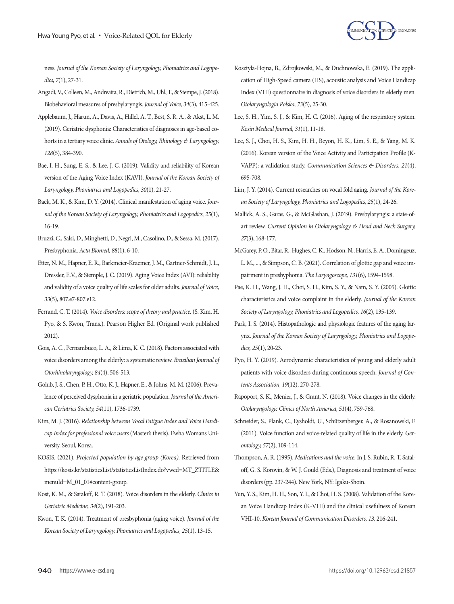

ness. *Journal of the Korean Society of Laryngology, Phoniatrics and Logopedics, 7*(1), 27-31.

- Angadi, V., Colleen, M., Andreatta, R., Dietrich, M., Uhl, T., & Stempe, J. (2018). Biobehavioral measures of presbylaryngis. *Journal of Voice, 34*(3), 415-425.
- Applebaum, J., Harun, A., Davis, A., Hillel, A. T., Best, S. R. A., & Akst, L. M. (2019). Geriatric dysphonia: Characteristics of diagnoses in age-based cohorts in a tertiary voice clinic. *Annals of Otology, Rhinology & Laryngology, 128*(5), 384-390.
- Bae, I. H., Sung, E. S., & Lee, J. C. (2019). Validity and reliability of Korean version of the Aging Voice Index (KAVI). *Journal of the Korean Society of Laryngology, Phoniatrics and Logopedics, 30*(1), 21-27.
- Baek, M. K., & Kim, D. Y. (2014). Clinical manifestation of aging voice. *Journal of the Korean Society of Laryngology, Phoniatrics and Logopedics, 25*(1), 16-19.
- Bruzzi, C., Salsi, D., Minghetti, D., Negri, M., Casolino, D., & Sessa, M. (2017). Presbyphonia. *Acta Biomed, 88*(1), 6-10.
- Etter, N. M., Hapner, E. R., Barkmeier-Kraemer, J. M., Gartner-Schmidt, J. L., Dressler, E.V., & Stemple, J. C. (2019). Aging Voice Index (AVI): reliability and validity of a voice quality of life scales for older adults. *Journal of Voice, 33*(5), 807.e7-807.e12.
- Ferrand, C. T. (2014). *Voice disorders: scope of theory and practice.* (S. Kim, H. Pyo, & S. Kwon, Trans.). Pearson Higher Ed. (Original work published 2012).
- Gois, A. C., Pernambuco, L. A., & Lima, K. C. (2018). Factors associated with voice disorders among the elderly: a systematic review. *Brazilian Journal of Otorhinolaryngology, 84*(4), 506-513.
- Golub, J. S., Chen, P. H., Otto, K. J., Hapner, E., & Johns, M. M. (2006). Prevalence of perceived dysphonia in a geriatric population. *Journal of the American Geriatrics Society, 54*(11), 1736-1739.
- Kim, M. J. (2016). *Relationship between Vocal Fatigue Index and Voice Handicap Index for professional voice users* (Master's thesis). Ewha Womans University. Seoul, Korea.
- KOSIS. (2021). *Projected population by age group (Korea).* Retrieved from [https://kosis.kr/statisticsList/statisticsListIndex.do?vwcd=MT\\_ZTITLE&](https://kosis.kr/statisticsList/statisticsListIndex.do?vwcd=MT_ZTITLE&menuId=M_01_01#content-group) [menuId=M\\_01\\_01#content-group.](https://kosis.kr/statisticsList/statisticsListIndex.do?vwcd=MT_ZTITLE&menuId=M_01_01#content-group)
- Kost, K. M., & Sataloff, R. T. (2018). Voice disorders in the elderly. *Clinics in Geriatric Medicine, 34*(2), 191-203.
- Kwon, T. K. (2014). Treatment of presbyphonia (aging voice). *Journal of the Korean Society of Laryngology, Phoniatrics and Logopedics, 25*(1), 13-15.
- Kosztyɫa-Hojna, B., Zdrojkowski, M., & Duchnowska, E. (2019). The application of High-Speed camera (HS), acoustic analysis and Voice Handicap Index (VHI) questionnaire in diagnosis of voice disorders in elderly men. *Otolaryngologia Polska, 73*(5), 25-30.
- Lee, S. H., Yim, S. J., & Kim, H. C. (2016). Aging of the respiratory system. *Kosin Medical Journal, 31*(1), 11-18.
- Lee, S. J., Choi, H. S., Kim, H. H., Beyon, H. K., Lim, S. E., & Yang, M. K. (2016). Korean version of the Voice Activity and Participation Profile (K-VAPP): a validation study. *Communication Sciences & Disorders, 21*(4), 695-708.
- Lim, J. Y. (2014). Current researches on vocal fold aging. *Journal of the Korean Society of Laryngology, Phoniatrics and Logopedics, 25*(1), 24-26.
- Mallick, A. S., Garas, G., & McGlashan, J. (2019). Presbylaryngis: a state-ofart review. *Current Opinion in Otolaryngology & Head and Neck Surgery, 27*(3), 168-177.
- McGarey, P. O., Bitar, R., Hughes, C. K., Hodson, N., Harris, E. A., Domingeuz, L. M., ..., & Simpson, C. B. (2021). Correlation of glottic gap and voice impairment in presbyphonia. *The Laryngoscope, 131*(6), 1594-1598.
- Pae, K. H., Wang, J. H., Choi, S. H., Kim, S. Y., & Nam, S. Y. (2005). Glottic characteristics and voice complaint in the elderly. *Journal of the Korean Society of Laryngology, Phoniatrics and Logopedics, 16*(2), 135-139.
- Park, I. S. (2014). Histopathologic and physiologic features of the aging larynx. *Journal of the Korean Society of Laryngology, Phoniatrics and Logopedics, 25*(1), 20-23.
- Pyo, H. Y. (2019). Aerodynamic characteristics of young and elderly adult patients with voice disorders during continuous speech. *Journal of Contents Association, 19*(12), 270-278.
- Rapoport, S. K., Menier, J., & Grant, N. (2018). Voice changes in the elderly. *Otolaryngologic Clinics of North America, 51*(4), 759-768.
- Schneider, S., Plank, C., Eysholdt, U., Schützenberger, A., & Rosanowski, F. (2011). Voice function and voice-related quality of life in the elderly. *Gerontology, 57*(2), 109-114.
- Thompson, A. R. (1995). *Medications and the voice.* In J. S. Rubin, R. T. Sataloff, G. S. Korovin, & W. J. Gould (Eds.), Diagnosis and treatment of voice disorders (pp. 237-244). New York, NY: Igaku-Shoin.
- Yun, Y. S., Kim, H. H., Son, Y. I., & Choi, H. S. (2008). Validation of the Korean Voice Handicap Index (K-VHI) and the clinical usefulness of Korean VHI-10. *Korean Journal of Communication Disorders, 13,* 216-241.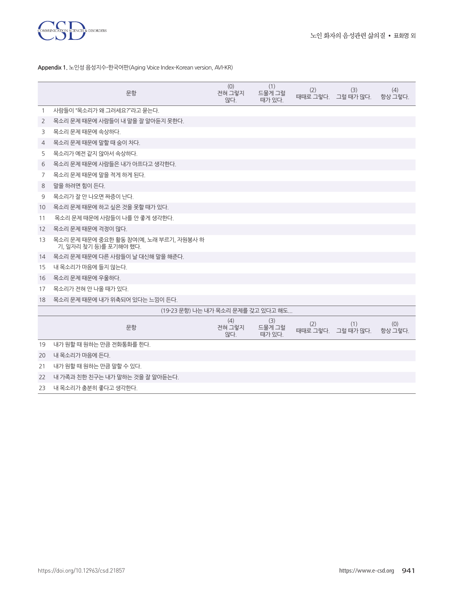

**Appendix 1.** 노인성 음성지수-한국어판(Aging Voice Index-Korean version, AVI-KR)

|    | 문항                                                               | (0)<br>전혀 그렇지<br>않다. | (1)<br>드물게 그럴<br>때가 있다. | (2) | (3)<br>때때로 그렇다. 그럴 때가 많다. | (4)<br>항상 그렇다. |
|----|------------------------------------------------------------------|----------------------|-------------------------|-----|---------------------------|----------------|
| 1  | 사람들이 "목소리가 왜 그러세요?"라고 묻는다.                                       |                      |                         |     |                           |                |
| 2  | 목소리 문제 때문에 사람들이 내 말을 잘 알아듣지 못한다.                                 |                      |                         |     |                           |                |
| 3  | 목소리 문제 때문에 속상하다.                                                 |                      |                         |     |                           |                |
| 4  | 목소리 문제 때문에 말할 때 숨이 차다.                                           |                      |                         |     |                           |                |
| 5  | 목소리가 예전 같지 않아서 속상하다.                                             |                      |                         |     |                           |                |
| 6  | 목소리 문제 때문에 사람들은 내가 아프다고 생각하다.                                    |                      |                         |     |                           |                |
| 7  | 목소리 문제 때문에 말을 적게 하게 된다.                                          |                      |                         |     |                           |                |
| 8  | 말을 하려면 힘이 든다.                                                    |                      |                         |     |                           |                |
| 9  | 목소리가 잘 안 나오면 짜증이 난다.                                             |                      |                         |     |                           |                |
| 10 | 목소리 문제 때문에 하고 싶은 것을 못할 때가 있다.                                    |                      |                         |     |                           |                |
| 11 | 목소리 무제 때문에 사람들이 나를 안 좋게 생각하다.                                    |                      |                         |     |                           |                |
| 12 | 목소리 문제 때문에 걱정이 많다.                                               |                      |                         |     |                           |                |
| 13 | 목소리 문제 때문에 중요한 활동 참여(예, 노래 부르기, 자원봉사 하<br>기, 일자리 찾기 등)를 포기해야 했다. |                      |                         |     |                           |                |
| 14 | 목소리 문제 때문에 다른 사람들이 날 대신해 말을 해준다.                                 |                      |                         |     |                           |                |
| 15 | 내 목소리가 마음에 들지 않는다.                                               |                      |                         |     |                           |                |
| 16 | 목소리 문제 때문에 우울하다.                                                 |                      |                         |     |                           |                |
| 17 | 목소리가 전혀 안 나올 때가 있다.                                              |                      |                         |     |                           |                |
| 18 | 목소리 문제 때문에 내가 위축되어 있다는 느낌이 든다.                                   |                      |                         |     |                           |                |
|    | (19-23 문항) 나는 내가 목소리 문제를 갖고 있다고 해도                               |                      |                         |     |                           |                |
|    | 문항                                                               | (4)<br>전혀 그렇지<br>않다. | (3)<br>드물게 그럴<br>때가 있다. | (2) | (1)<br>때때로 그렇다. 그럴 때가 많다. | (0)<br>항상 그렇다. |
| 19 | 내가 원할 때 원하는 만큼 전화통화를 한다.                                         |                      |                         |     |                           |                |
| 20 | 내 목소리가 마음에 든다.                                                   |                      |                         |     |                           |                |
| 21 | 내가 워할 때 워하는 만큼 말할 수 있다.                                          |                      |                         |     |                           |                |
| 22 | 내 가족과 친한 친구는 내가 말하는 것을 잘 알아듣는다.                                  |                      |                         |     |                           |                |
| 23 | 내 목소리가 충분히 좋다고 생각한다.                                             |                      |                         |     |                           |                |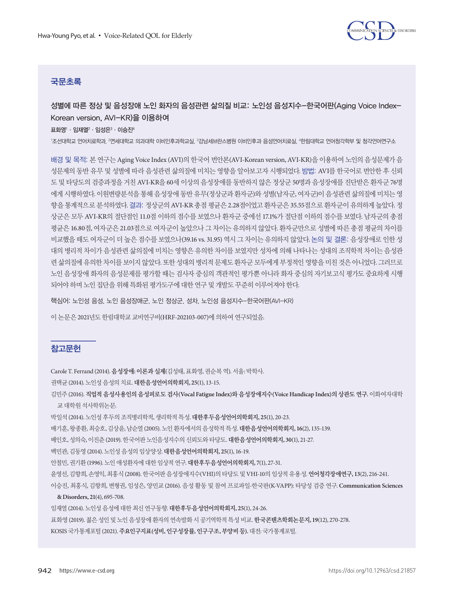

# 국문초록

성별에 따른 정상 및 음성장애 노인 화자의 음성관련 삶의질 비교: 노인성 음성지수-한국어판(Aging Voice Index-Korean version, AVI-KR)을 이용하여

표화영'ㆍ임재열 $^2$ ㆍ임성은 $^3\cdot$  이승진 $^4$ 

'조선대학교 언어치료학과, <sup>2</sup>연세대학교 의과대학 이비인후과학교실, <sup>3</sup>강남세브란스병원 이비인후과 음성언어치료실, '한림대학교 언어청각학부 및 청각언어연구소

배경 및 목적: 본 연구는 Aging Voice Index (AVI)의 한국어 번안본(AVI-Korean version, AVI-KR)을 이용하여 노인의 음성문제가 음 성문제의 동반 유무 및 성별에 따라 음성관련 삶의질에 미치는 영향을 알아보고자 시행되었다. 방법: AVI를 한국어로 번안한 후 신뢰 도 및 타당도의 검증과정을 거친 AVI-KR을 60세 이상의 음성장애를 동반하지 않은 정상군 50명과 음성장애를 진단받은 환자군 76명 에게 시행하였다. 이원변량분석을 통해 음성장애 동반 유무(정상군과 환자군)와 성별(남자군, 여자군)이 음성관련 삶의질에 미치는 영 향을 통계적으로 분석하였다. 결과: 정상군의 AVI-KR 총점 평균은 2.28점이었고 환자군은 35.55점으로 환자군이 유의하게 높았다. 정 상군은 모두 AVI-KR의 절단점인 11.0점 이하의 점수를 보였으나 환자군 중에선 17.1%가 절단점 이하의 점수를 보였다. 남자군의 총점 평균은 16.80점, 여자군은 21.03점으로 여자군이 높았으나 그 차이는 유의하지 않았다. 환자군만으로 성별에 따른 총점 평균의 차이를 비교했을 때도 여자군이 더 높은 점수를 보였으나(39.16 vs. 31.95) 역시 그 차이는 유의하지 않았다. 논의 및 결론: 음성장애로 인한 성 대의 병리적 차이가 음성관련 삶의질에 미치는 영향은 유의한 차이를 보였지만 성차에 의해 나타나는 성대의 조직학적 차이는 음성관 련 삶의질에 유의한 차이를 보이지 않았다. 또한 성대의 병리적 문제도 환자군 모두에게 부정적인 영향을 미친 것은 아니었다. 그러므로 노인 음성장애 화자의 음성문제를 평가할 때는 검사자 중심의 객관적인 평가뿐 아니라 화자 중심의 자기보고식 평가도 중요하게 시행 되어야 하며 노인 집단을 위해 특화된 평가도구에 대한 연구 및 개발도 꾸준히 이루어져야 한다.

핵심어: 노인성 음성, 노인 음성장애군, 노인 정상군, 성차, 노인성 음성지수-한국어판(AVI-KR)

이 논문은 2021년도 한림대학교 교비연구비(HRF-202103-007)에 의하여 연구되었음.

## 참고문헌

Carole T. Ferrand (2014). 음성장애**:** 이론과실제(김성태, 표화영, 권순복역). 서울: 박학사.

권택균 (2014). 노인성음성의치료. 대한음성언어의학회지**, 25**(1), 13-15.

김민주 (2016). 직업적 음성사용인의 음성피로도 검사**(Vocal Fatigue Index)**와 음성장애지수**(Voice Handicap Index)**의 상관도 연구**.** 이화여자대학 교대학원석사학위논문.

박일석 (2014). 노인성후두의조직병리학적, 생리학적특성. 대한후두음성언어의학회지**, 25**(1), 20-23.

배기훈, 왕종환, 최승호, 김상윤, 남순열 (2005). 노인환자에서의음성학적특성. 대한음성언어의학회지**, 16**(2), 135-139.

배인호, 성의숙, 이진춘 (2019). 한국어판노인음성지수의신뢰도와타당도. 대한음성언어의학회지**, 30**(1), 21-27.

백민관, 김동영 (2014). 노인성음성의임상양상. 대한음성언어의학회지**, 25**(1), 16-19.

안철민, 권기환 (1996). 노인애성환자에대한임상적연구. 대한후두음성언어의학회지**, 7**(1), 27-31.

윤영선, 김향희, 손영익, 최홍식 (2008). 한국어판음성장애지수(VHI)의타당도및 VHI-10의임상적유용성. 언어청각장애연구**, 13**(2), 216-241.

이승진, 최홍식, 김향희, 변형권, 임성은, 양민교 (2016). 음성 활동 및 참여 프로파일-한국판(K-VAPP): 타당성 검증 연구. **Communication Sciences** 

## **& Disorders, 21**(4), 695-708.

임재열 (2014). 노인성음성에대한최신연구동향. 대한후두음성언어의학회지**, 25**(1), 24-26.

표화영 (2019). 젊은성인및노인음성장애환자의연속발화시공기역학적특성비교. 한국콘텐츠학회논문지**, 19**(12), 270-278.

KOSIS 국가통계포털 (2021). 주요인구지표**(**성비**,** 인구성장률**,** 인구구조**,** 부양비등**).** 대전: 국가통계포털.